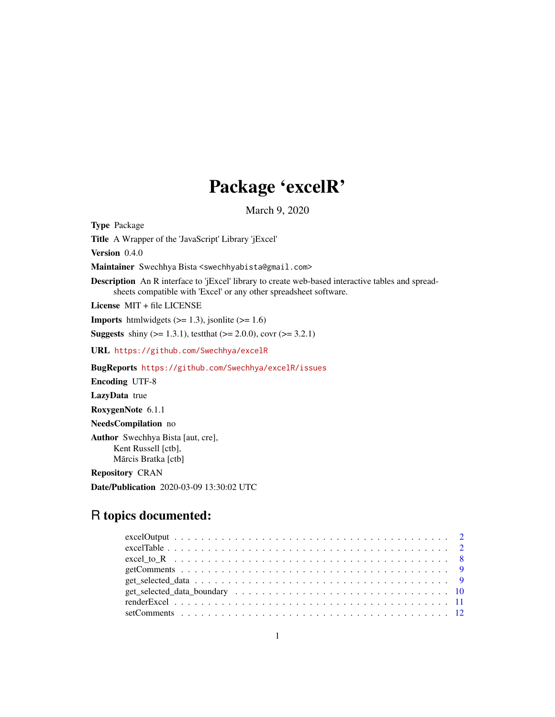## Package 'excelR'

March 9, 2020

Type Package Title A Wrapper of the 'JavaScript' Library 'jExcel' Version 0.4.0 Maintainer Swechhya Bista <swechhyabista@gmail.com> Description An R interface to 'jExcel' library to create web-based interactive tables and spreadsheets compatible with 'Excel' or any other spreadsheet software. License MIT + file LICENSE **Imports** htmlwidgets  $(>= 1.3)$ , jsonlite  $(>= 1.6)$ **Suggests** shiny ( $>= 1.3.1$ ), test that ( $>= 2.0.0$ ), covr ( $>= 3.2.1$ ) URL <https://github.com/Swechhya/excelR> BugReports <https://github.com/Swechhya/excelR/issues> Encoding UTF-8 LazyData true RoxygenNote 6.1.1 NeedsCompilation no Author Swechhya Bista [aut, cre], Kent Russell [ctb], Mārcis Bratka [ctb] Repository CRAN

Date/Publication 2020-03-09 13:30:02 UTC

### R topics documented: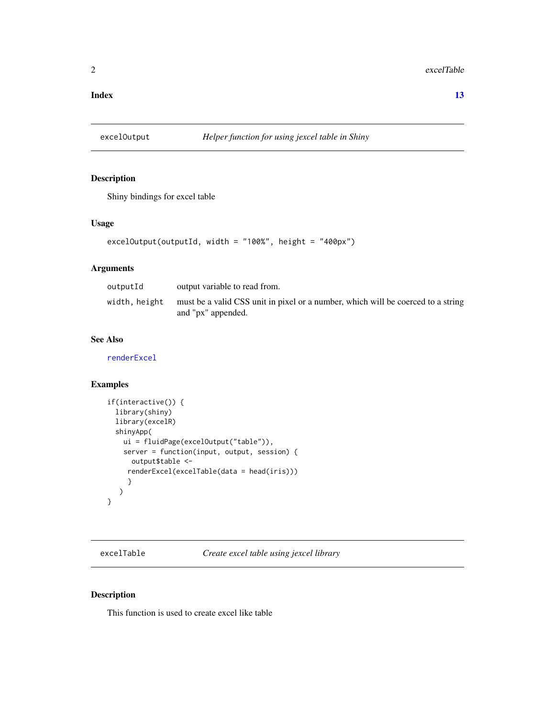#### <span id="page-1-0"></span>**Index** [13](#page-12-0)

<span id="page-1-1"></span>

#### Description

Shiny bindings for excel table

#### Usage

```
excelOutput(outputId, width = "100%", height = "400px")
```
#### Arguments

| outputId      | output variable to read from.                                                                          |
|---------------|--------------------------------------------------------------------------------------------------------|
| width, height | must be a valid CSS unit in pixel or a number, which will be coerced to a string<br>and "px" appended. |

#### See Also

[renderExcel](#page-10-1)

#### Examples

```
if(interactive()) {
  library(shiny)
  library(excelR)
  shinyApp(
   ui = fluidPage(excelOutput("table")),
    server = function(input, output, session) {
     output$table <-
     renderExcel(excelTable(data = head(iris)))
     }
  )
}
```
excelTable *Create excel table using jexcel library*

#### Description

This function is used to create excel like table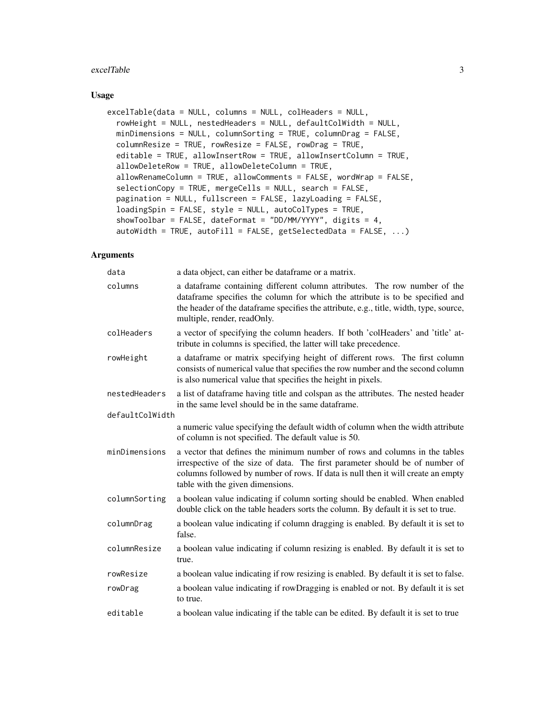#### excelTable 3

#### Usage

```
excelTable(data = NULL, columns = NULL, colHeaders = NULL,
  rowHeight = NULL, nestedHeaders = NULL, defaultColWidth = NULL,
 minDimensions = NULL, columnSorting = TRUE, columnDrag = FALSE,
  columnResize = TRUE, rowResize = FALSE, rowDrag = TRUE,
  editable = TRUE, allowInsertRow = TRUE, allowInsertColumn = TRUE,
  allowDeleteRow = TRUE, allowDeleteColumn = TRUE,
  allowRenameColumn = TRUE, allowComments = FALSE, wordWrap = FALSE,
  selectionCopy = TRUE, mergeCells = NULL, search = FALSE,
  pagination = NULL, fullscreen = FALSE, lazyLoading = FALSE,
  loadingSpin = FALSE, style = NULL, autoColTypes = TRUE,
  showToolbar = FALSE, dateFormat = "DD/MM/YYYY", digits = 4,
  autowidth = TRUE, autofill = FALSE, getSelectedData = FALSE, ...
```
#### Arguments

| data            | a data object, can either be dataframe or a matrix.                                                                                                                                                                                                                                 |
|-----------------|-------------------------------------------------------------------------------------------------------------------------------------------------------------------------------------------------------------------------------------------------------------------------------------|
| columns         | a dataframe containing different column attributes. The row number of the<br>dataframe specifies the column for which the attribute is to be specified and<br>the header of the dataframe specifies the attribute, e.g., title, width, type, source,<br>multiple, render, readOnly. |
| colHeaders      | a vector of specifying the column headers. If both 'colHeaders' and 'title' at-<br>tribute in columns is specified, the latter will take precedence.                                                                                                                                |
| rowHeight       | a dataframe or matrix specifying height of different rows. The first column<br>consists of numerical value that specifies the row number and the second column<br>is also numerical value that specifies the height in pixels.                                                      |
| nestedHeaders   | a list of dataframe having title and colspan as the attributes. The nested header<br>in the same level should be in the same data frame.                                                                                                                                            |
| defaultColWidth |                                                                                                                                                                                                                                                                                     |
|                 | a numeric value specifying the default width of column when the width attribute<br>of column is not specified. The default value is 50.                                                                                                                                             |
| minDimensions   | a vector that defines the minimum number of rows and columns in the tables<br>irrespective of the size of data. The first parameter should be of number of<br>columns followed by number of rows. If data is null then it will create an empty<br>table with the given dimensions.  |
| columnSorting   | a boolean value indicating if column sorting should be enabled. When enabled<br>double click on the table headers sorts the column. By default it is set to true.                                                                                                                   |
| columnDrag      | a boolean value indicating if column dragging is enabled. By default it is set to<br>false.                                                                                                                                                                                         |
| columnResize    | a boolean value indicating if column resizing is enabled. By default it is set to<br>true.                                                                                                                                                                                          |
| rowResize       | a boolean value indicating if row resizing is enabled. By default it is set to false.                                                                                                                                                                                               |
| rowDrag         | a boolean value indicating if rowDragging is enabled or not. By default it is set<br>to true.                                                                                                                                                                                       |
| editable        | a boolean value indicating if the table can be edited. By default it is set to true                                                                                                                                                                                                 |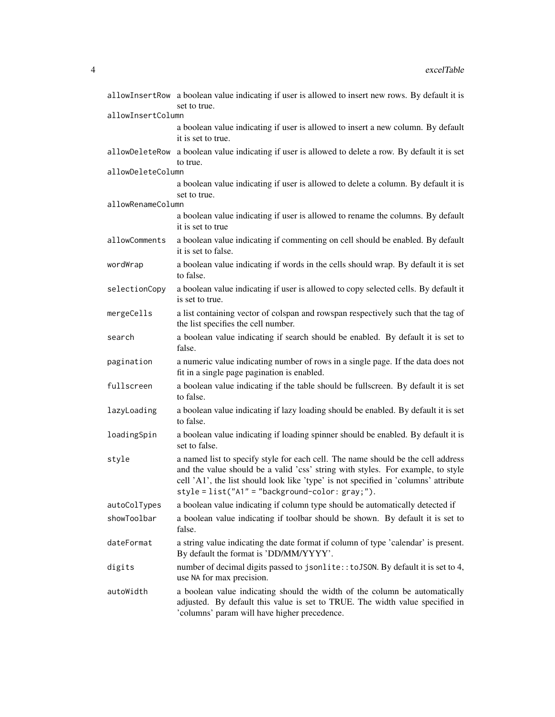|                   | allowInsertRow a boolean value indicating if user is allowed to insert new rows. By default it is<br>set to true.                                                                                                                                                                                               |
|-------------------|-----------------------------------------------------------------------------------------------------------------------------------------------------------------------------------------------------------------------------------------------------------------------------------------------------------------|
| allowInsertColumn |                                                                                                                                                                                                                                                                                                                 |
|                   | a boolean value indicating if user is allowed to insert a new column. By default<br>it is set to true.                                                                                                                                                                                                          |
| allowDeleteRow    | a boolean value indicating if user is allowed to delete a row. By default it is set                                                                                                                                                                                                                             |
| allowDeleteColumn | to true.                                                                                                                                                                                                                                                                                                        |
|                   | a boolean value indicating if user is allowed to delete a column. By default it is<br>set to true.                                                                                                                                                                                                              |
| allowRenameColumn |                                                                                                                                                                                                                                                                                                                 |
|                   | a boolean value indicating if user is allowed to rename the columns. By default<br>it is set to true                                                                                                                                                                                                            |
| allowComments     | a boolean value indicating if commenting on cell should be enabled. By default<br>it is set to false.                                                                                                                                                                                                           |
| wordWrap          | a boolean value indicating if words in the cells should wrap. By default it is set<br>to false.                                                                                                                                                                                                                 |
| selectionCopy     | a boolean value indicating if user is allowed to copy selected cells. By default it<br>is set to true.                                                                                                                                                                                                          |
| mergeCells        | a list containing vector of colspan and rowspan respectively such that the tag of<br>the list specifies the cell number.                                                                                                                                                                                        |
| search            | a boolean value indicating if search should be enabled. By default it is set to<br>false.                                                                                                                                                                                                                       |
| pagination        | a numeric value indicating number of rows in a single page. If the data does not<br>fit in a single page pagination is enabled.                                                                                                                                                                                 |
| fullscreen        | a boolean value indicating if the table should be fullscreen. By default it is set<br>to false.                                                                                                                                                                                                                 |
| lazyLoading       | a boolean value indicating if lazy loading should be enabled. By default it is set<br>to false.                                                                                                                                                                                                                 |
| loadingSpin       | a boolean value indicating if loading spinner should be enabled. By default it is<br>set to false.                                                                                                                                                                                                              |
| style             | a named list to specify style for each cell. The name should be the cell address<br>and the value should be a valid 'css' string with styles. For example, to style<br>cell 'A1', the list should look like 'type' is not specified in 'columns' attribute<br>$style = list("A1" = "background-color: gray;").$ |
| autoColTypes      | a boolean value indicating if column type should be automatically detected if                                                                                                                                                                                                                                   |
| showToolbar       | a boolean value indicating if toolbar should be shown. By default it is set to<br>false.                                                                                                                                                                                                                        |
| dateFormat        | a string value indicating the date format if column of type 'calendar' is present.<br>By default the format is 'DD/MM/YYYY'.                                                                                                                                                                                    |
| digits            | number of decimal digits passed to jsonlite:: to JSON. By default it is set to 4,<br>use NA for max precision.                                                                                                                                                                                                  |
| autoWidth         | a boolean value indicating should the width of the column be automatically<br>adjusted. By default this value is set to TRUE. The width value specified in<br>'columns' param will have higher precedence.                                                                                                      |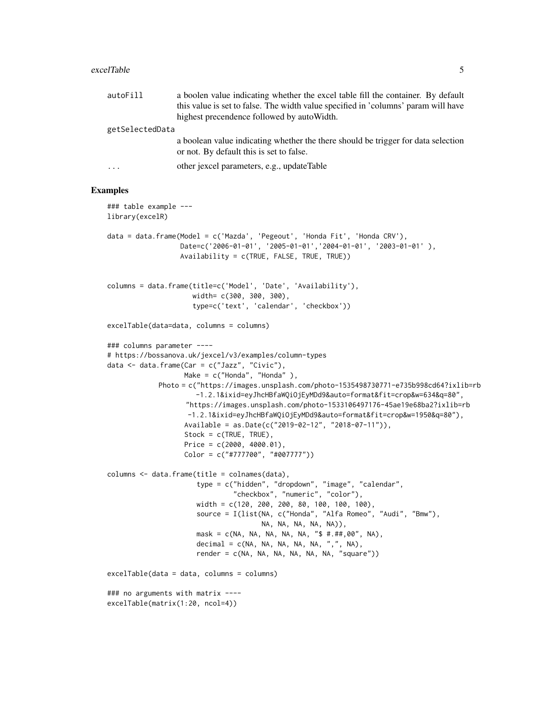#### excelTable 5

| autoFill        | a boolen value indicating whether the excel table fill the container. By default                                              |
|-----------------|-------------------------------------------------------------------------------------------------------------------------------|
|                 | this value is set to false. The width value specified in 'columns' param will have                                            |
|                 | highest precendence followed by auto Width.                                                                                   |
| getSelectedData |                                                                                                                               |
|                 | a boolean value indicating whether the there should be trigger for data selection<br>or not. By default this is set to false. |
| $\cdot$         | other jexcel parameters, e.g., updateTable                                                                                    |

```
### table example ---
library(excelR)
data = data.frame(Model = c('Mazda', 'Pegeout', 'Honda Fit', 'Honda CRV'),
                  Date=c('2006-01-01', '2005-01-01','2004-01-01', '2003-01-01' ),
                  Availability = c(TRUE, FALSE, TRUE, TRUE))
columns = data.frame(title=c('Model', 'Date', 'Availability'),
                     width= c(300, 300, 300),
                     type=c('text', 'calendar', 'checkbox'))
excelTable(data=data, columns = columns)
### columns parameter ----
# https://bossanova.uk/jexcel/v3/examples/column-types
data <- data.frame(Car = c("Jazz", "Civic"),
                  Make = c("Honda", "Honda"),
            Photo = c("https://images.unsplash.com/photo-1535498730771-e735b998cd64?ixlib=rb
                     -1.2.1&ixid=eyJhcHBfaWQiOjEyMDd9&auto=format&fit=crop&w=634&q=80",
                   "https://images.unsplash.com/photo-1533106497176-45ae19e68ba2?ixlib=rb
                   -1.2.1&ixid=eyJhcHBfaWQiOjEyMDd9&auto=format&fit=crop&w=1950&q=80"),
                   Available = as.Date(c("2019-02-12", "2018-07-11")),
                   Stock = c(TRUE, TRUE),
                   Price = c(2000, 4000.01),
                   Color = c("#777700", "#007777"))
columns <- data.frame(title = colnames(data),
                      type = c("hidden", "dropdown", "image", "calendar",
                               "checkbox", "numeric", "color"),
                      width = c(120, 200, 200, 80, 100, 100, 100),
                      source = I(list(NA, c("Honda", "Alfa Romeo", "Audi", "Bmw"),
                                      NA, NA, NA, NA, NA)),
                      mask = c(NA, NA, NA, NA, NA, "$ #.##,00", NA),
                      decimal = c(NA, NA, NA, NA, NA, ",", NA),
                      render = c(NA, NA, NA, NA, NA, NA, "square"))
excelTable(data = data, columns = columns)
### no arguments with matrix ----
excelTable(matrix(1:20, ncol=4))
```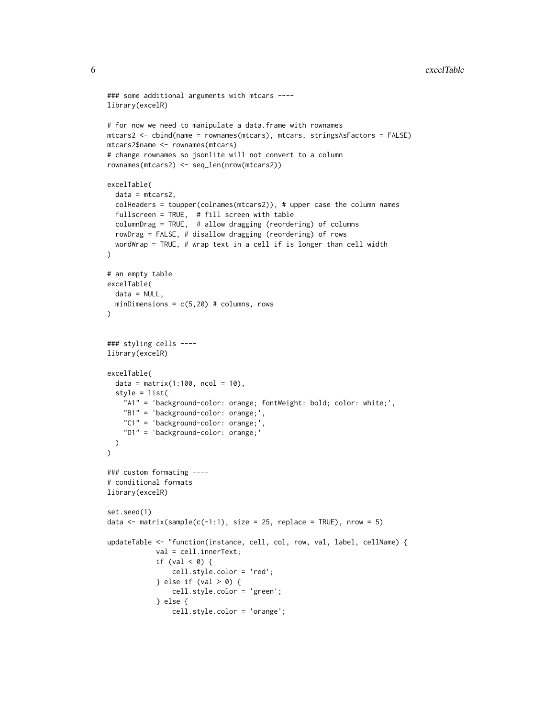#### 6 excelTable excelTable excelTable excelTable excelTable excelTable

```
### some additional arguments with mtcars ----
library(excelR)
# for now we need to manipulate a data.frame with rownames
mtcars2 <- cbind(name = rownames(mtcars), mtcars, stringsAsFactors = FALSE)
mtcars2$name <- rownames(mtcars)
# change rownames so jsonlite will not convert to a column
rownames(mtcars2) <- seq_len(nrow(mtcars2))
excelTable(
  data = mtcars2,
  colHeaders = toupper(colnames(mtcars2)), # upper case the column names
  fullscreen = TRUE, # fill screen with table
  columnDrag = TRUE, # allow dragging (reordering) of columns
  rowDrag = FALSE, # disallow dragging (reordering) of rows
  wordWrap = TRUE, # wrap text in a cell if is longer than cell width
)
# an empty table
excelTable(
  data = NULL,
  minDimensions = c(5, 20) # columns, rows
\mathcal{L}### styling cells ----
library(excelR)
excelTable(
  data = matrix(1:100, ncol = 10),style = list(
    "A1" = 'background-color: orange; fontWeight: bold; color: white;',
   "B1" = 'background-color: orange;',
   "C1" = 'background-color: orange;',
    "D1" = 'background-color: orange;'
  )
\lambda### custom formating ----
# conditional formats
library(excelR)
set.seed(1)
data \le matrix(sample(c(-1:1), size = 25, replace = TRUE), nrow = 5)
updateTable <- "function(instance, cell, col, row, val, label, cellName) {
            val = cell.innerText;
            if (val \lt 0) {
                cell.style.color = 'red';
            } else if (val > 0) {
                cell.style.color = 'green';
            } else {
                cell.style.color = 'orange';
```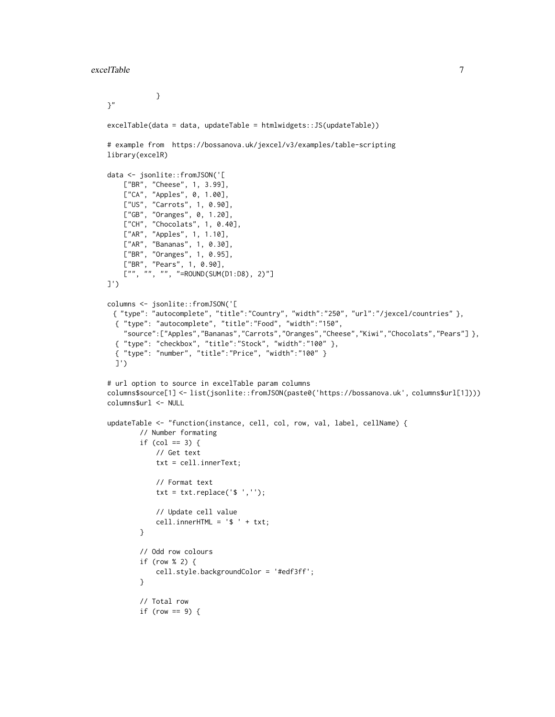```
}
}"
excelTable(data = data, updateTable = htmlwidgets::JS(updateTable))
# example from https://bossanova.uk/jexcel/v3/examples/table-scripting
library(excelR)
data <- jsonlite::fromJSON('[
    ["BR", "Cheese", 1, 3.99],
    ["CA", "Apples", 0, 1.00],
    ["US", "Carrots", 1, 0.90],
    ["GB", "Oranges", 0, 1.20],
    ["CH", "Chocolats", 1, 0.40],
    ["AR", "Apples", 1, 1.10],
   ["AR", "Bananas", 1, 0.30],
    ["BR", "Oranges", 1, 0.95],
    ["BR", "Pears", 1, 0.90],
    \left[\begin{array}{cc} ""\,,\quad ""\,,\quad ""\,,\quad "={\tt ROUND(SUM(D1:D8), 2)}\ \end{array}\right]]')
columns <- jsonlite::fromJSON('[
 { "type": "autocomplete", "title":"Country", "width":"250", "url":"/jexcel/countries" },
  { "type": "autocomplete", "title":"Food", "width":"150",
    "source":["Apples","Bananas","Carrots","Oranges","Cheese","Kiwi","Chocolats","Pears"] },
 { "type": "checkbox", "title":"Stock", "width":"100" },
 { "type": "number", "title":"Price", "width":"100" }
 ]')
# url option to source in excelTable param columns
columns$source[1] <- list(jsonlite::fromJSON(paste0('https://bossanova.uk', columns$url[1])))
columns$url <- NULL
updateTable <- "function(instance, cell, col, row, val, label, cellName) {
        // Number formating
        if (col == 3) {
            // Get text
            txt = cell.innerText;
            // Format text
            txt = txt.replace('\ ','');
            // Update cell value
            cell.innerHTML = ' ' + txt;}
        // Odd row colours
        if (row % 2) {
            cell.style.backgroundColor = '#edf3ff';
        }
        // Total row
        if (row == 9) {
```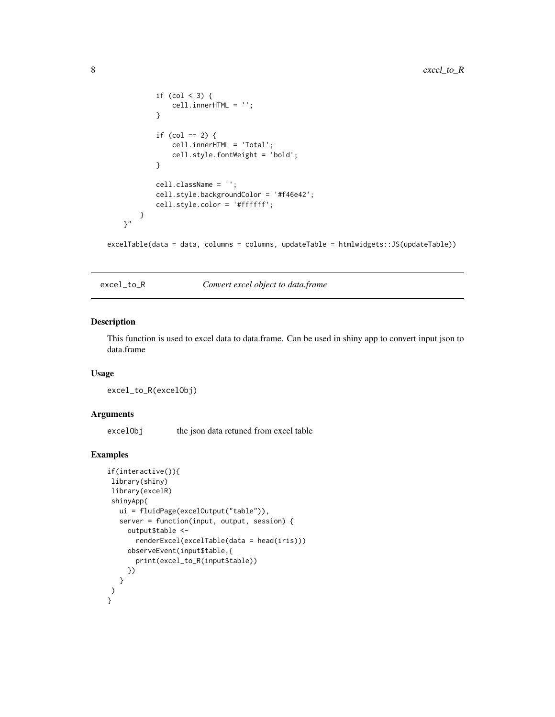```
if (col < 3) {
                cell.innerHTML = '';
            }
            if (col == 2) {
                cell.innerHTML = 'Total';
                cell.style.fontWeight = 'bold';
            }
            cell.className = '';
            cell.style.backgroundColor = '#f46e42';
            cell.style.color = '#ffffff';
        }
   \gamma"
excelTable(data = data, columns = columns, updateTable = htmlwidgets::JS(updateTable))
```
excel\_to\_R *Convert excel object to data.frame*

#### Description

This function is used to excel data to data.frame. Can be used in shiny app to convert input json to data.frame

#### Usage

excel\_to\_R(excelObj)

#### Arguments

excelObj the json data retuned from excel table

```
if(interactive()){
library(shiny)
library(excelR)
shinyApp(
  ui = fluidPage(excelOutput("table")),
  server = function(input, output, session) {
    output$table <-
      renderExcel(excelTable(data = head(iris)))
     observeEvent(input$table,{
      print(excel_to_R(input$table))
    })
  }
)
}
```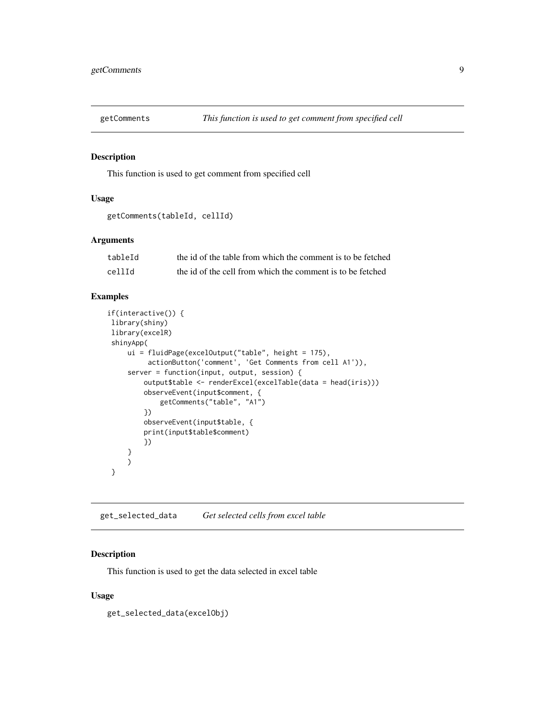<span id="page-8-0"></span>

#### Description

This function is used to get comment from specified cell

#### Usage

```
getComments(tableId, cellId)
```
#### Arguments

| tableId | the id of the table from which the comment is to be fetched |
|---------|-------------------------------------------------------------|
| cellId  | the id of the cell from which the comment is to be fetched  |

#### Examples

```
if(interactive()) {
library(shiny)
library(excelR)
shinyApp(
     ui = fluidPage(excelOutput("table", height = 175),
          actionButton('comment', 'Get Comments from cell A1')),
     server = function(input, output, session) {
         output$table <- renderExcel(excelTable(data = head(iris)))
         observeEvent(input$comment, {
             getComments("table", "A1")
         })
        observeEvent(input$table, {
        print(input$table$comment)
        })
     }
     )
}
```
get\_selected\_data *Get selected cells from excel table*

#### Description

This function is used to get the data selected in excel table

#### Usage

get\_selected\_data(excelObj)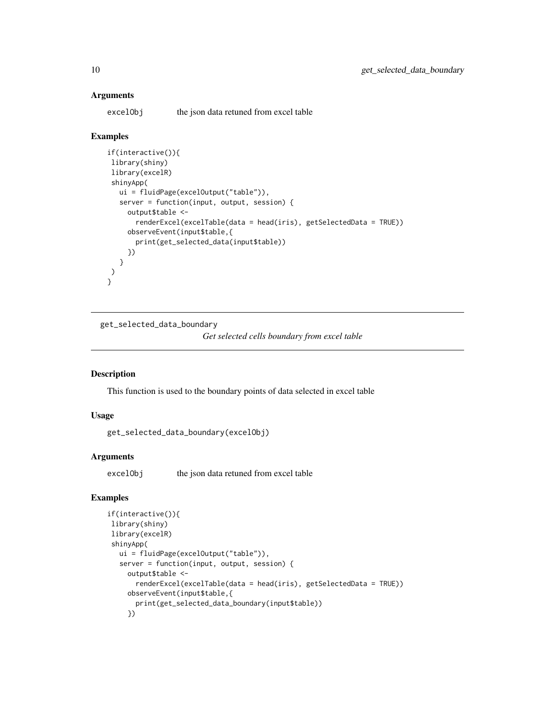#### **Arguments**

excelObj the json data retuned from excel table

#### Examples

```
if(interactive()){
library(shiny)
library(excelR)
shinyApp(
  ui = fluidPage(excelOutput("table")),
  server = function(input, output, session) {
    output$table <-
      renderExcel(excelTable(data = head(iris), getSelectedData = TRUE))
    observeEvent(input$table,{
      print(get_selected_data(input$table))
     })
  }
)
}
```
get\_selected\_data\_boundary

```
Get selected cells boundary from excel table
```
#### Description

This function is used to the boundary points of data selected in excel table

#### Usage

get\_selected\_data\_boundary(excelObj)

#### Arguments

excelObj the json data retuned from excel table

```
if(interactive()){
library(shiny)
library(excelR)
shinyApp(
  ui = fluidPage(excelOutput("table")),
   server = function(input, output, session) {
    output$table <-
      renderExcel(excelTable(data = head(iris), getSelectedData = TRUE))
    observeEvent(input$table,{
      print(get_selected_data_boundary(input$table))
     })
```
<span id="page-9-0"></span>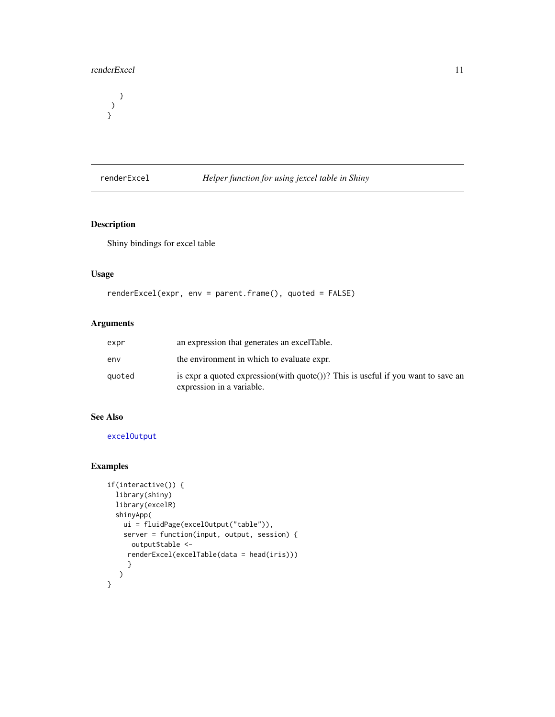#### <span id="page-10-0"></span>renderExcel 11

} ) }

<span id="page-10-1"></span>renderExcel *Helper function for using jexcel table in Shiny*

#### Description

Shiny bindings for excel table

#### Usage

```
renderExcel(expr, env = parent.frame(), quoted = FALSE)
```
#### Arguments

| expr   | an expression that generates an excel Table.                                                                  |
|--------|---------------------------------------------------------------------------------------------------------------|
| env    | the environment in which to evaluate expr.                                                                    |
| quoted | is expr a quoted expression(with quote())? This is useful if you want to save an<br>expression in a variable. |

#### See Also

[excelOutput](#page-1-1)

```
if(interactive()) {
 library(shiny)
 library(excelR)
  shinyApp(
   ui = fluidPage(excelOutput("table")),
   server = function(input, output, session) {
     output$table <-
    renderExcel(excelTable(data = head(iris)))
     }
  )
}
```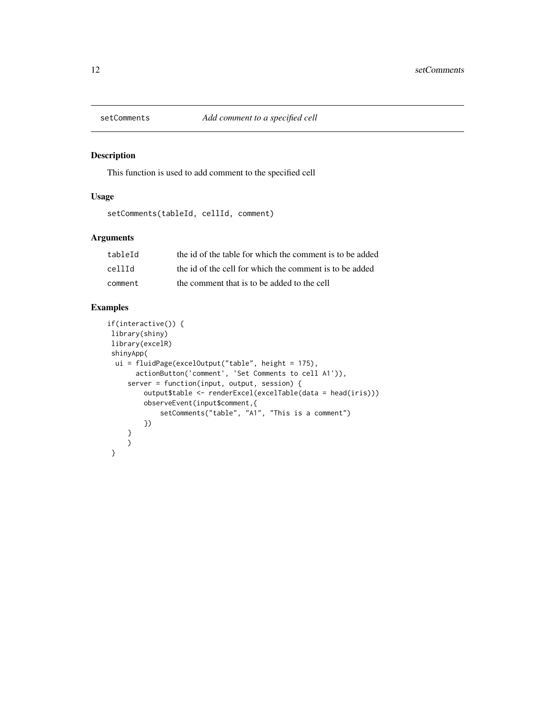<span id="page-11-0"></span>

#### Description

This function is used to add comment to the specified cell

#### Usage

```
setComments(tableId, cellId, comment)
```
#### Arguments

| tableId | the id of the table for which the comment is to be added |
|---------|----------------------------------------------------------|
| cellId  | the id of the cell for which the comment is to be added  |
| comment | the comment that is to be added to the cell              |

```
if(interactive()) {
library(shiny)
library(excelR)
shinyApp(
 ui = fluidPage(excelOutput("table", height = 175),
       actionButton('comment', 'Set Comments to cell A1')),
     server = function(input, output, session) {
        output$table <- renderExcel(excelTable(data = head(iris)))
        observeEvent(input$comment,{
             setComments("table", "A1", "This is a comment")
        })
     }
    \big)}
```